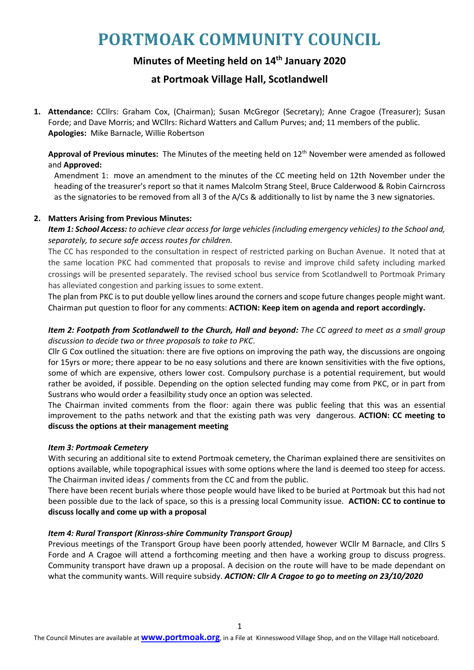# **PORTMOAK COMMUNITY COUNCIL**

# **Minutes of Meeting held on 14th January 2020**

# **at Portmoak Village Hall, Scotlandwell**

**1. Attendance:** CCllrs: Graham Cox, (Chairman); Susan McGregor (Secretary); Anne Cragoe (Treasurer); Susan Forde; and Dave Morris; and WCllrs: Richard Watters and Callum Purves; and; 11 members of the public. **Apologies:** Mike Barnacle, Willie Robertson

**Approval of Previous minutes:** The Minutes of the meeting held on 12th November were amended as followed and **Approved:**

Amendment 1: move an amendment to the minutes of the CC meeting held on 12th November under the heading of the treasurer's report so that it names Malcolm Strang Steel, Bruce Calderwood & Robin Cairncross as the signatories to be removed from all 3 of the A/Cs & additionally to list by name the 3 new signatories.

# **2. Matters Arising from Previous Minutes:**

*Item 1: School Access: to achieve clear access for large vehicles (including emergency vehicles) to the School and, separately, to secure safe access routes for children.* 

The CC has responded to the consultation in respect of restricted parking on Buchan Avenue. It noted that at the same location PKC had commented that proposals to revise and improve child safety including marked crossings will be presented separately. The revised school bus service from Scotlandwell to Portmoak Primary has alleviated congestion and parking issues to some extent.

The plan from PKC is to put double yellow lines around the corners and scope future changes people might want. Chairman put question to floor for any comments: **ACTION: Keep item on agenda and report accordingly.**

# *Item 2: Footpath from Scotlandwell to the Church, Hall and beyond: The CC agreed to meet as a small group discussion to decide two or three proposals to take to PKC*.

Cllr G Cox outlined the situation: there are five options on improving the path way, the discussions are ongoing for 15yrs or more; there appear to be no easy solutions and there are known sensitivities with the five options, some of which are expensive, others lower cost. Compulsory purchase is a potential requirement, but would rather be avoided, if possible. Depending on the option selected funding may come from PKC, or in part from Sustrans who would order a feasilbility study once an option was selected.

The Chairman invited comments from the floor: again there was public feeling that this was an essential improvement to the paths network and that the existing path was very dangerous. **ACTION: CC meeting to discuss the options at their management meeting**

# *Item 3: Portmoak Cemetery*

With securing an additional site to extend Portmoak cemetery, the Chariman explained there are sensitivites on options available, while topographical issues with some options where the land is deemed too steep for access. The Chairman invited ideas / comments from the CC and from the public.

There have been recent burials where those people would have liked to be buried at Portmoak but this had not been possible due to the lack of space, so this is a pressing local Community issue. **ACTION: CC to continue to discuss locally and come up with a proposal** 

# *Item 4: Rural Transport (Kinross-shire Community Transport Group)*

Previous meetings of the Transport Group have been poorly attended, however WCllr M Barnacle, and Cllrs S Forde and A Cragoe will attend a forthcoming meeting and then have a working group to discuss progress. Community transport have drawn up a proposal. A decision on the route will have to be made dependant on what the community wants. Will require subsidy. *ACTION: Cllr A Cragoe to go to meeting on 23/10/2020*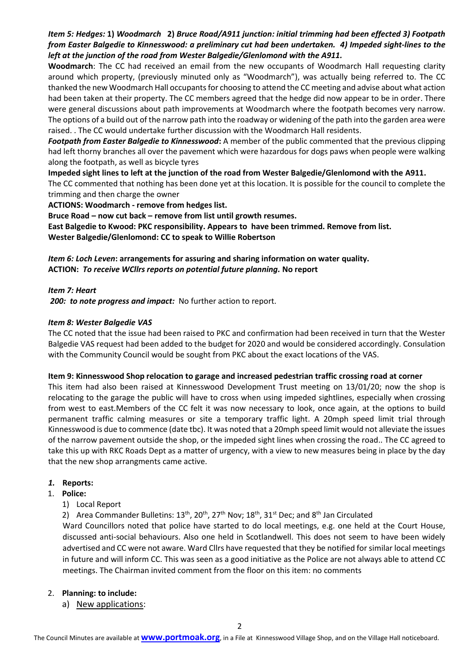# *Item 5: Hedges:* **1)** *Woodmarch* **2)** *Bruce Road/A911 junction: initial trimming had been effected 3) Footpath from Easter Balgedie to Kinnesswood: a preliminary cut had been undertaken. 4) Impeded sight-lines to the left at the junction of the road from Wester Balgedie/Glenlomond with the A911.*

**Woodmarch**: The CC had received an email from the new occupants of Woodmarch Hall requesting clarity around which property, (previously minuted only as "Woodmarch"), was actually being referred to. The CC thanked the new Woodmarch Hall occupants for choosing to attend the CC meeting and advise about what action had been taken at their property. The CC members agreed that the hedge did now appear to be in order. There were general discussions about path improvements at Woodmarch where the footpath becomes very narrow. The options of a build out of the narrow path into the roadway or widening of the path into the garden area were raised. . The CC would undertake further discussion with the Woodmarch Hall residents.

**Footpath from Easter Balgedie to Kinnesswood:** A member of the public commented that the previous clipping had left thorny branches all over the pavement which were hazardous for dogs paws when people were walking along the footpath, as well as bicycle tyres

**Impeded sight lines to left at the junction of the road from Wester Balgedie/Glenlomond with the A911.** The CC commented that nothing has been done yet at this location. It is possible for the council to complete the trimming and then charge the owner

**ACTIONS: Woodmarch - remove from hedges list.** 

**Bruce Road – now cut back – remove from list until growth resumes.**

**East Balgedie to Kwood: PKC responsibility. Appears to have been trimmed. Remove from list. Wester Balgedie/Glenlomond: CC to speak to Willie Robertson** 

*Item 6: Loch Leven***: arrangements for assuring and sharing information on water quality. ACTION:** *To receive WCllrs reports on potential future planning.* **No report**

*Item 7: Heart*

200: to note progress and impact: No further action to report.

#### *Item 8: Wester Balgedie VAS*

The CC noted that the issue had been raised to PKC and confirmation had been received in turn that the Wester Balgedie VAS request had been added to the budget for 2020 and would be considered accordingly. Consulation with the Community Council would be sought from PKC about the exact locations of the VAS.

#### **Item 9: Kinnesswood Shop relocation to garage and increased pedestrian traffic crossing road at corner**

This item had also been raised at Kinnesswood Development Trust meeting on 13/01/20; now the shop is relocating to the garage the public will have to cross when using impeded sightlines, especially when crossing from west to east.Members of the CC felt it was now necessary to look, once again, at the options to build permanent traffic calming measures or site a temporary traffic light. A 20mph speed limit trial through Kinnesswood is due to commence (date tbc). It was noted that a 20mph speed limit would not alleviate the issues of the narrow pavement outside the shop, or the impeded sight lines when crossing the road.. The CC agreed to take this up with RKC Roads Dept as a matter of urgency, with a view to new measures being in place by the day that the new shop arrangments came active.

#### *1.* **Reports:**

- 1. **Police:**
	- 1) Local Report

2) Area Commander Bulletins:  $13^{th}$ ,  $20^{th}$ ,  $27^{th}$  Nov;  $18^{th}$ ,  $31^{st}$  Dec; and  $8^{th}$  Jan Circulated

Ward Councillors noted that police have started to do local meetings, e.g. one held at the Court House, discussed anti-social behaviours. Also one held in Scotlandwell. This does not seem to have been widely advertised and CC were not aware. Ward Cllrs have requested that they be notified for similar local meetings in future and will inform CC. This was seen as a good initiative as the Police are not always able to attend CC meetings. The Chairman invited comment from the floor on this item: no comments

#### 2. **Planning: to include:**

a) New applications: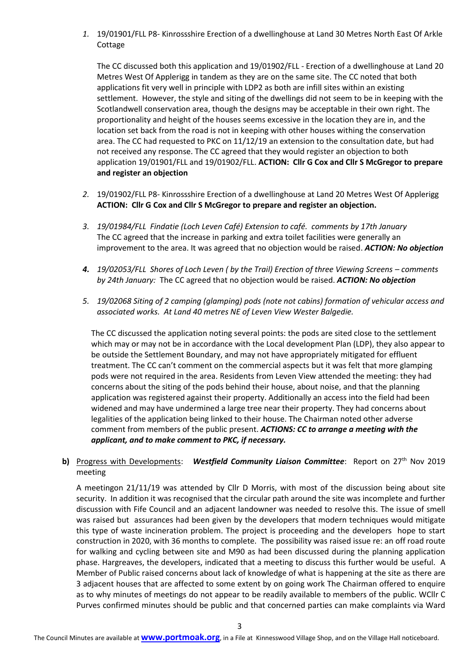*1.* 19/01901/FLL P8- Kinrossshire Erection of a dwellinghouse at Land 30 Metres North East Of Arkle Cottage

The CC discussed both this application and 19/01902/FLL - Erection of a dwellinghouse at Land 20 Metres West Of Applerigg in tandem as they are on the same site. The CC noted that both applications fit very well in principle with LDP2 as both are infill sites within an existing settlement. However, the style and siting of the dwellings did not seem to be in keeping with the Scotlandwell conservation area, though the designs may be acceptable in their own right. The proportionality and height of the houses seems excessive in the location they are in, and the location set back from the road is not in keeping with other houses withing the conservation area. The CC had requested to PKC on 11/12/19 an extension to the consultation date, but had not received any response. The CC agreed that they would register an objection to both application 19/01901/FLL and 19/01902/FLL. **ACTION: Cllr G Cox and Cllr S McGregor to prepare and register an objection**

- *2.* 19/01902/FLL P8- Kinrossshire Erection of a dwellinghouse at Land 20 Metres West Of Applerigg **ACTION: Cllr G Cox and Cllr S McGregor to prepare and register an objection.**
- *3. 19/01984/FLL Findatie (Loch Leven Café) Extension to café. comments by 17th January* The CC agreed that the increase in parking and extra toilet facilities were generally an improvement to the area. It was agreed that no objection would be raised. *ACTION: No objection*
- **4. 19/02053/FLL Shores of Loch Leven ( by the Trail) Erection of three Viewing Screens comments** *by 24th January:* The CC agreed that no objection would be raised. *ACTION: No objection*
- *5. 19/02068 Siting of 2 camping (glamping) pods (note not cabins) formation of vehicular access and associated works. At Land 40 metres NE of Leven View Wester Balgedie.*

The CC discussed the application noting several points: the pods are sited close to the settlement which may or may not be in accordance with the Local development Plan (LDP), they also appear to be outside the Settlement Boundary, and may not have appropriately mitigated for effluent treatment. The CC can't comment on the commercial aspects but it was felt that more glamping pods were not required in the area. Residents from Leven View attended the meeting: they had concerns about the siting of the pods behind their house, about noise, and that the planning application was registered against their property. Additionally an access into the field had been widened and may have undermined a large tree near their property. They had concerns about legalities of the application being linked to their house. The Chairman noted other adverse comment from members of the public present. *ACTIONS: CC to arrange a meeting with the applicant, and to make comment to PKC, if necessary.*

# **b)** Progress with Developments: *Westfield Community Liaison Committee*: Report on 27<sup>th</sup> Nov 2019 meeting

A meetingon 21/11/19 was attended by Cllr D Morris, with most of the discussion being about site security. In addition it was recognised that the circular path around the site was incomplete and further discussion with Fife Council and an adjacent landowner was needed to resolve this. The issue of smell was raised but assurances had been given by the developers that modern techniques would mitigate this type of waste incineration problem. The project is proceeding and the developers hope to start construction in 2020, with 36 months to complete. The possibility was raised issue re: an off road route for walking and cycling between site and M90 as had been discussed during the planning application phase. Hargreaves, the developers, indicated that a meeting to discuss this further would be useful. A Member of Public raised concerns about lack of knowledge of what is happening at the site as there are 3 adjacent houses that are affected to some extent by on going work The Chairman offered to enquire as to why minutes of meetings do not appear to be readily available to members of the public. WCllr C Purves confirmed minutes should be public and that concerned parties can make complaints via Ward